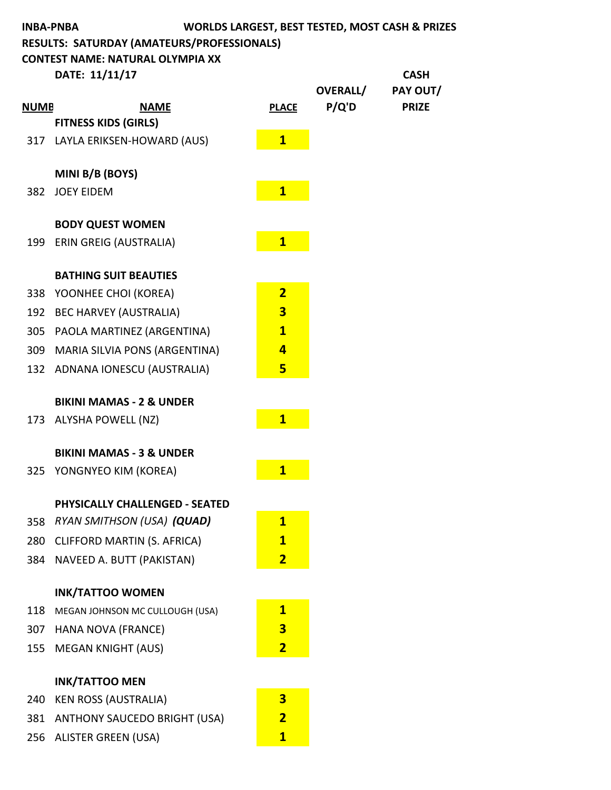|             | <b>INBA-PNBA</b>                           |                         |                 | <b>WORLDS LARGEST, BEST TESTED, MOST CASH &amp; PRIZES</b> |
|-------------|--------------------------------------------|-------------------------|-----------------|------------------------------------------------------------|
|             | RESULTS: SATURDAY (AMATEURS/PROFESSIONALS) |                         |                 |                                                            |
|             | <b>CONTEST NAME: NATURAL OLYMPIA XX</b>    |                         |                 |                                                            |
|             | DATE: 11/11/17                             |                         | <b>OVERALL/</b> | <b>CASH</b>                                                |
| <b>NUMB</b> | <b>NAME</b>                                | <b>PLACE</b>            | P/Q'D           | PAY OUT/<br><b>PRIZE</b>                                   |
|             | <b>FITNESS KIDS (GIRLS)</b>                |                         |                 |                                                            |
|             | 317 LAYLA ERIKSEN-HOWARD (AUS)             | $\mathbf{1}$            |                 |                                                            |
|             |                                            |                         |                 |                                                            |
|             | MINI B/B (BOYS)                            |                         |                 |                                                            |
|             | 382 JOEY EIDEM                             | $\overline{\mathbf{1}}$ |                 |                                                            |
|             |                                            |                         |                 |                                                            |
|             | <b>BODY QUEST WOMEN</b>                    |                         |                 |                                                            |
| 199         | <b>ERIN GREIG (AUSTRALIA)</b>              | $\mathbf{1}$            |                 |                                                            |
|             | <b>BATHING SUIT BEAUTIES</b>               |                         |                 |                                                            |
|             | 338 YOONHEE CHOI (KOREA)                   | $\overline{2}$          |                 |                                                            |
|             | 192 BEC HARVEY (AUSTRALIA)                 | $\overline{\mathbf{3}}$ |                 |                                                            |
| 305         | PAOLA MARTINEZ (ARGENTINA)                 | $\overline{1}$          |                 |                                                            |
|             | 309 MARIA SILVIA PONS (ARGENTINA)          | 4                       |                 |                                                            |
|             | 132 ADNANA IONESCU (AUSTRALIA)             | 5                       |                 |                                                            |
|             |                                            |                         |                 |                                                            |
|             | <b>BIKINI MAMAS - 2 &amp; UNDER</b>        |                         |                 |                                                            |
| 173         | <b>ALYSHA POWELL (NZ)</b>                  | $\overline{1}$          |                 |                                                            |
|             | <b>BIKINI MAMAS - 3 &amp; UNDER</b>        |                         |                 |                                                            |
| 325         | YONGNYEO KIM (KOREA)                       | $\mathbf{1}$            |                 |                                                            |
|             |                                            |                         |                 |                                                            |
|             | <b>PHYSICALLY CHALLENGED - SEATED</b>      |                         |                 |                                                            |
| 358         | RYAN SMITHSON (USA) (QUAD)                 | $\overline{1}$          |                 |                                                            |
| 280         | CLIFFORD MARTIN (S. AFRICA)                | $\mathbf{1}$            |                 |                                                            |
| 384         | NAVEED A. BUTT (PAKISTAN)                  | $\overline{2}$          |                 |                                                            |
|             | <b>INK/TATTOO WOMEN</b>                    |                         |                 |                                                            |
| 118         | MEGAN JOHNSON MC CULLOUGH (USA)            | $\overline{\mathbf{1}}$ |                 |                                                            |
| 307         | HANA NOVA (FRANCE)                         | $\overline{\mathbf{3}}$ |                 |                                                            |
| 155         | <b>MEGAN KNIGHT (AUS)</b>                  | $\overline{\mathbf{2}}$ |                 |                                                            |
|             |                                            |                         |                 |                                                            |
|             | <b>INK/TATTOO MEN</b>                      |                         |                 |                                                            |
| 240         | <b>KEN ROSS (AUSTRALIA)</b>                | $\overline{\mathbf{3}}$ |                 |                                                            |
| 381         | <b>ANTHONY SAUCEDO BRIGHT (USA)</b>        | $\overline{2}$          |                 |                                                            |
| 256         | <b>ALISTER GREEN (USA)</b>                 | $\mathbf{1}$            |                 |                                                            |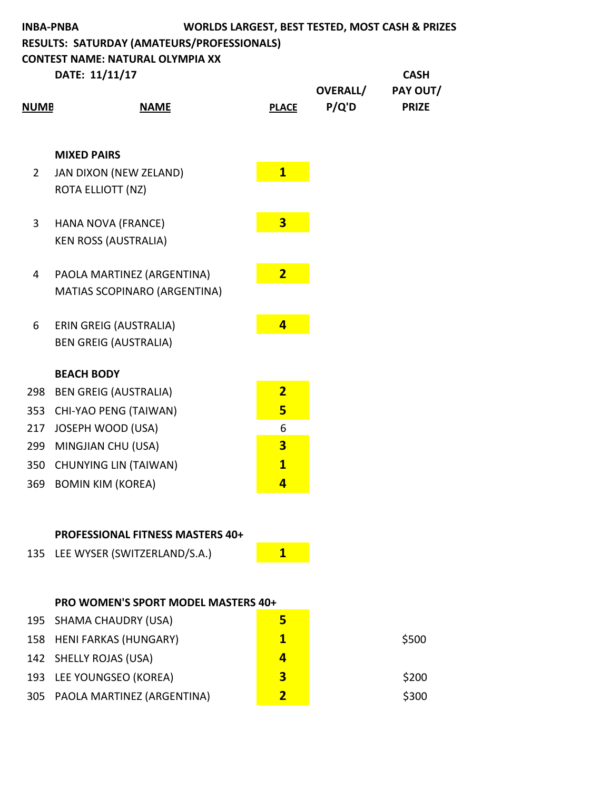| <b>WORLDS LARGEST, BEST TESTED, MOST CASH &amp; PRIZES</b><br><b>INBA-PNBA</b><br>RESULTS: SATURDAY (AMATEURS/PROFESSIONALS)<br><b>CONTEST NAME: NATURAL OLYMPIA XX</b> |                               |                         |                          |                          |
|-------------------------------------------------------------------------------------------------------------------------------------------------------------------------|-------------------------------|-------------------------|--------------------------|--------------------------|
|                                                                                                                                                                         | DATE: 11/11/17                |                         |                          | <b>CASH</b>              |
| <b>NUMB</b>                                                                                                                                                             | <b>NAME</b>                   | <b>PLACE</b>            | <b>OVERALL/</b><br>P/Q'D | PAY OUT/<br><b>PRIZE</b> |
|                                                                                                                                                                         | <b>MIXED PAIRS</b>            |                         |                          |                          |
| $\overline{2}$                                                                                                                                                          | JAN DIXON (NEW ZELAND)        | $\overline{\mathbf{1}}$ |                          |                          |
|                                                                                                                                                                         | ROTA ELLIOTT (NZ)             |                         |                          |                          |
| 3                                                                                                                                                                       | HANA NOVA (FRANCE)            | $\overline{3}$          |                          |                          |
|                                                                                                                                                                         | <b>KEN ROSS (AUSTRALIA)</b>   |                         |                          |                          |
| 4                                                                                                                                                                       | PAOLA MARTINEZ (ARGENTINA)    | $\overline{2}$          |                          |                          |
|                                                                                                                                                                         | MATIAS SCOPINARO (ARGENTINA)  |                         |                          |                          |
| 6                                                                                                                                                                       | <b>ERIN GREIG (AUSTRALIA)</b> | $\overline{4}$          |                          |                          |
|                                                                                                                                                                         | <b>BEN GREIG (AUSTRALIA)</b>  |                         |                          |                          |
|                                                                                                                                                                         | <b>BEACH BODY</b>             |                         |                          |                          |
| 298                                                                                                                                                                     | <b>BEN GREIG (AUSTRALIA)</b>  | $\overline{2}$          |                          |                          |
| 353                                                                                                                                                                     | CHI-YAO PENG (TAIWAN)         | 5                       |                          |                          |
| 217                                                                                                                                                                     | JOSEPH WOOD (USA)             | 6                       |                          |                          |
| 299                                                                                                                                                                     | MINGJIAN CHU (USA)            | $\overline{\mathbf{3}}$ |                          |                          |
| 350                                                                                                                                                                     | <b>CHUNYING LIN (TAIWAN)</b>  | $\mathbf{1}$            |                          |                          |
| 369                                                                                                                                                                     | <b>BOMIN KIM (KOREA)</b>      | $\overline{\mathbf{4}}$ |                          |                          |

# **PROFESSIONAL FITNESS MASTERS 40+**

| 135 LEE WYSER (SWITZERLAND/S.A.) |  |
|----------------------------------|--|
|                                  |  |

## **PRO WOMEN'S SPORT MODEL MASTERS 40+**

| 195 SHAMA CHAUDRY (USA)        |   |       |
|--------------------------------|---|-------|
| 158 HENI FARKAS (HUNGARY)      | 1 | \$500 |
| 142 SHELLY ROJAS (USA)         | Δ |       |
| 193 LEE YOUNGSEO (KOREA)       | 3 | \$200 |
| 305 PAOLA MARTINEZ (ARGENTINA) | 7 | \$300 |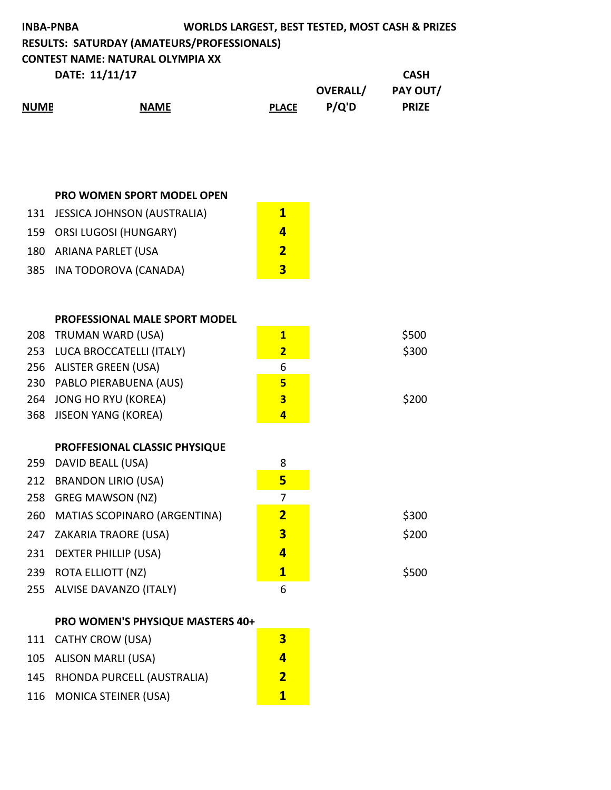| <b>INBA-PNBA</b> |                                                   | <b>WORLDS LARGEST, BEST TESTED, MOST CASH &amp; PRIZES</b> |                 |              |
|------------------|---------------------------------------------------|------------------------------------------------------------|-----------------|--------------|
|                  | <b>RESULTS: SATURDAY (AMATEURS/PROFESSIONALS)</b> |                                                            |                 |              |
|                  | <b>CONTEST NAME: NATURAL OLYMPIA XX</b>           |                                                            |                 |              |
| DATE: 11/11/17   |                                                   |                                                            |                 | <b>CASH</b>  |
|                  |                                                   |                                                            | <b>OVERALL/</b> | PAY OUT/     |
| <b>NUMB</b>      | <b>NAME</b>                                       | <b>PLACE</b>                                               | P/Q'D           | <b>PRIZE</b> |
|                  |                                                   |                                                            |                 |              |
|                  |                                                   |                                                            |                 |              |

#### **PRO WOMEN SPORT MODEL OPEN**

| 131 JESSICA JOHNSON (AUSTRALIA) | 1  |
|---------------------------------|----|
| 159 ORSI LUGOSI (HUNGARY)       | Δ. |
| 180 ARIANA PARLET (USA          | 2  |
| 385 INA TODOROVA (CANADA)       | З  |

|     | <b>PROFESSIONAL MALE SPORT MODEL</b>    |                         |
|-----|-----------------------------------------|-------------------------|
|     | 208 TRUMAN WARD (USA)                   | $\overline{\mathbf{1}}$ |
| 253 | LUCA BROCCATELLI (ITALY)                | $\overline{2}$          |
| 256 | <b>ALISTER GREEN (USA)</b>              | 6                       |
| 230 | PABLO PIERABUENA (AUS)                  | 5 <sub>5</sub>          |
|     | 264 JONG HO RYU (KOREA)                 | $\overline{\mathbf{3}}$ |
| 368 | JISEON YANG (KOREA)                     | $\overline{\mathbf{a}}$ |
|     |                                         |                         |
|     | PROFFESIONAL CLASSIC PHYSIQUE           |                         |
| 259 | DAVID BEALL (USA)                       | 8                       |
| 212 | <b>BRANDON LIRIO (USA)</b>              | 5                       |
| 258 | <b>GREG MAWSON (NZ)</b>                 | $\overline{7}$          |
| 260 | <b>MATIAS SCOPINARO (ARGENTINA)</b>     | $\overline{2}$          |
| 247 | ZAKARIA TRAORE (USA)                    | 3                       |
| 231 | DEXTER PHILLIP (USA)                    | $\overline{\mathbf{A}}$ |
|     | 239 ROTA ELLIOTT (NZ)                   | $\mathbf{1}$            |
|     | 255 ALVISE DAVANZO (ITALY)              | 6                       |
|     | <b>PRO WOMEN'S PHYSIOUF MASTERS 40+</b> |                         |

#### **PRO WOMEN'S PHYSIQUE MASTERS**

| 111 CATHY CROW (USA)           | З |
|--------------------------------|---|
| 105 ALISON MARLI (USA)         | 4 |
| 145 RHONDA PURCELL (AUSTRALIA) | 2 |
| 116 MONICA STEINER (USA)       | 1 |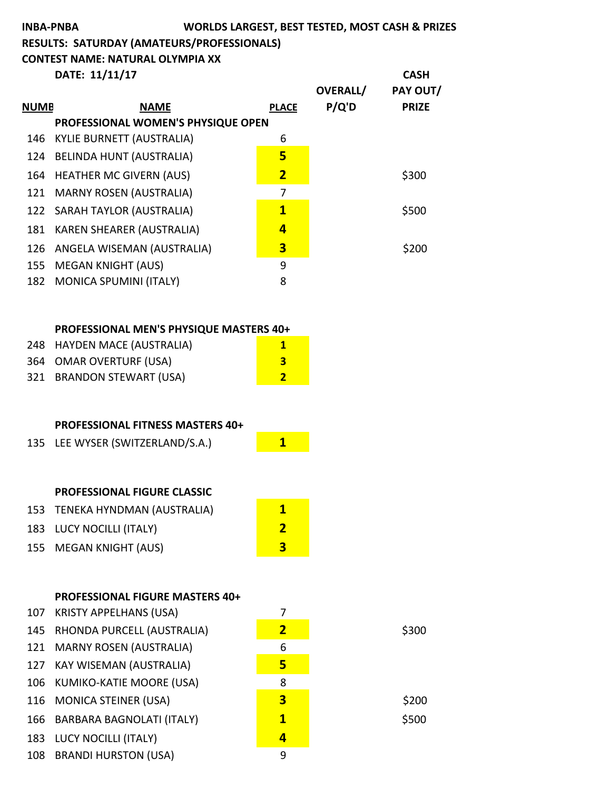# **INBA-PNBA WORLDS LARGEST, BEST TESTED, MOST CASH & PRIZES RESULTS: SATURDAY (AMATEURS/PROFESSIONALS) CONTEST NAME: NATURAL OLYMPIA XX DATE:** 11/11/17 **CASH**

|             |                                    |                | <b>OVERALL/</b> | PAY OUT/     |
|-------------|------------------------------------|----------------|-----------------|--------------|
| <b>NUMB</b> | <b>NAME</b>                        | <b>PLACE</b>   | P/Q'D           | <b>PRIZE</b> |
|             | PROFESSIONAL WOMEN'S PHYSIQUE OPEN |                |                 |              |
| 146         | KYLIE BURNETT (AUSTRALIA)          | 6              |                 |              |
| 124         | <b>BELINDA HUNT (AUSTRALIA)</b>    | 5              |                 |              |
|             | 164 HEATHER MC GIVERN (AUS)        | $\overline{2}$ |                 | \$300        |
|             | 121 MARNY ROSEN (AUSTRALIA)        | 7              |                 |              |
|             | 122 SARAH TAYLOR (AUSTRALIA)       | $\mathbf{1}$   |                 | \$500        |
| 181         | <b>KAREN SHEARER (AUSTRALIA)</b>   | 4              |                 |              |
|             | 126 ANGELA WISEMAN (AUSTRALIA)     | 3              |                 | \$200        |
| 155         | <b>MEGAN KNIGHT (AUS)</b>          | 9              |                 |              |
| 182         | <b>MONICA SPUMINI (ITALY)</b>      | 8              |                 |              |

#### **PROFESSIONAL MEN'S PHYSIQUE MASTERS 40+**

| 248 HAYDEN MACE (AUSTRALIA) |     |
|-----------------------------|-----|
| 364 OMAR OVERTURF (USA)     | 3   |
| 321 BRANDON STEWART (USA)   | - 7 |

#### **PROFESSIONAL FITNESS MASTERS 40+**

| 135 LEE WYSER (SWITZERLAND/S.A.) |  |
|----------------------------------|--|
|                                  |  |

## **PROFESSIONAL FIGURE CLASSIC**

| 153 TENEKA HYNDMAN (AUSTRALIA) |   |
|--------------------------------|---|
| 183 LUCY NOCILLI (ITALY)       |   |
| 155 MEGAN KNIGHT (AUS)         | 3 |

### **PROFESSIONAL FIGURE MASTERS 40+**

| 107 KRISTY APPELHANS (USA)     |                         |       |
|--------------------------------|-------------------------|-------|
| 145 RHONDA PURCELL (AUSTRALIA) | $\overline{\mathbf{2}}$ | \$300 |
| 121 MARNY ROSEN (AUSTRALIA)    | 6                       |       |
| 127 KAY WISEMAN (AUSTRALIA)    | 5                       |       |
| 106 KUMIKO-KATIE MOORE (USA)   | 8                       |       |
| 116 MONICA STEINER (USA)       | 3                       | \$200 |
| 166 BARBARA BAGNOLATI (ITALY)  | $\mathbf{1}$            | \$500 |
| 183 LUCY NOCILLI (ITALY)       | 4                       |       |
| 108 BRANDI HURSTON (USA)       | 9                       |       |
|                                |                         |       |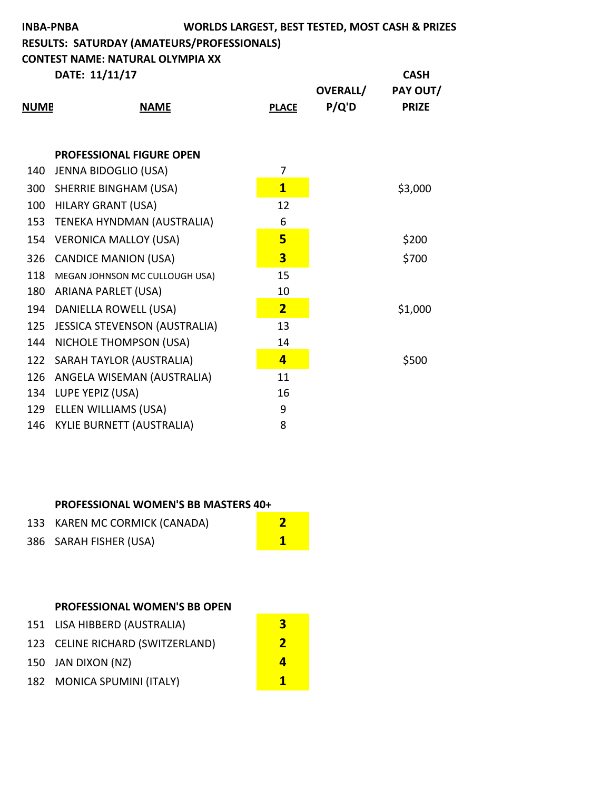| WORLDS LARGEST, BEST TESTED, MOST CASH & PRIZES<br><b>INBA-PNBA</b><br>RESULTS: SATURDAY (AMATEURS/PROFESSIONALS)<br><b>CONTEST NAME: NATURAL OLYMPIA XX</b> |                                   |  |                         |                          |                                         |
|--------------------------------------------------------------------------------------------------------------------------------------------------------------|-----------------------------------|--|-------------------------|--------------------------|-----------------------------------------|
| <u>NUMB</u>                                                                                                                                                  | DATE: 11/11/17<br><b>NAME</b>     |  | <b>PLACE</b>            | <b>OVERALL/</b><br>P/Q'D | <b>CASH</b><br>PAY OUT/<br><b>PRIZE</b> |
|                                                                                                                                                              |                                   |  |                         |                          |                                         |
|                                                                                                                                                              | <b>PROFESSIONAL FIGURE OPEN</b>   |  |                         |                          |                                         |
|                                                                                                                                                              | 140 JENNA BIDOGLIO (USA)          |  | 7                       |                          |                                         |
|                                                                                                                                                              | 300 SHERRIE BINGHAM (USA)         |  | $\overline{\mathbf{1}}$ |                          | \$3,000                                 |
|                                                                                                                                                              | 100 HILARY GRANT (USA)            |  | 12                      |                          |                                         |
|                                                                                                                                                              | 153 TENEKA HYNDMAN (AUSTRALIA)    |  | 6                       |                          |                                         |
| 154                                                                                                                                                          | <b>VERONICA MALLOY (USA)</b>      |  | 5 <sub>5</sub>          |                          | \$200                                   |
| 326                                                                                                                                                          | <b>CANDICE MANION (USA)</b>       |  | $\overline{3}$          |                          | \$700                                   |
| 118                                                                                                                                                          | MEGAN JOHNSON MC CULLOUGH USA)    |  | 15                      |                          |                                         |
|                                                                                                                                                              | 180 ARIANA PARLET (USA)           |  | 10                      |                          |                                         |
|                                                                                                                                                              | 194 DANIELLA ROWELL (USA)         |  | $\overline{2}$          |                          | \$1,000                                 |
|                                                                                                                                                              | 125 JESSICA STEVENSON (AUSTRALIA) |  | 13                      |                          |                                         |
| 144                                                                                                                                                          | NICHOLE THOMPSON (USA)            |  | 14                      |                          |                                         |
|                                                                                                                                                              | 122 SARAH TAYLOR (AUSTRALIA)      |  | $\overline{4}$          |                          | \$500                                   |
|                                                                                                                                                              | 126 ANGELA WISEMAN (AUSTRALIA)    |  | 11                      |                          |                                         |
|                                                                                                                                                              | 134 LUPE YEPIZ (USA)              |  | 16                      |                          |                                         |
|                                                                                                                                                              | 129 ELLEN WILLIAMS (USA)          |  | 9                       |                          |                                         |
| 146                                                                                                                                                          | <b>KYLIE BURNETT (AUSTRALIA)</b>  |  | 8                       |                          |                                         |

#### **PROFESSIONAL WOMEN'S BB MASTERS 40+**

| 133 KAREN MC CORMICK (CANADA) |  |
|-------------------------------|--|
| 386 SARAH FISHER (USA)        |  |

### **PROFESSIONAL WOMEN'S BB OPEN**

| 151 LISA HIBBERD (AUSTRALIA)     | З        |
|----------------------------------|----------|
| 123 CELINE RICHARD (SWITZERLAND) | <b>7</b> |
| 150 JAN DIXON (NZ)               | д        |
| 182 MONICA SPUMINI (ITALY)       | 1        |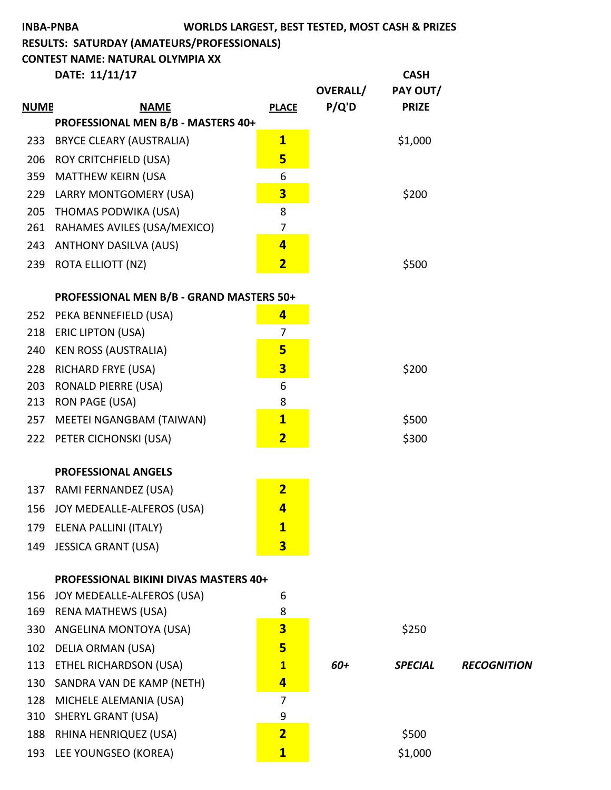|             | <b>INBA-PNBA</b>                                          |                         |                 | WORLDS LARGEST, BEST TESTED, MOST CASH & PRIZES |                    |
|-------------|-----------------------------------------------------------|-------------------------|-----------------|-------------------------------------------------|--------------------|
|             | RESULTS: SATURDAY (AMATEURS/PROFESSIONALS)                |                         |                 |                                                 |                    |
|             | <b>CONTEST NAME: NATURAL OLYMPIA XX</b>                   |                         |                 |                                                 |                    |
|             | DATE: 11/11/17                                            |                         |                 | <b>CASH</b>                                     |                    |
|             |                                                           |                         | <b>OVERALL/</b> | PAY OUT/                                        |                    |
| <b>NUMB</b> | <b>NAME</b><br>PROFESSIONAL MEN B/B - MASTERS 40+         | <b>PLACE</b>            | P/Q'D           | <b>PRIZE</b>                                    |                    |
| 233         | <b>BRYCE CLEARY (AUSTRALIA)</b>                           | $\overline{\mathbf{1}}$ |                 | \$1,000                                         |                    |
|             |                                                           | 5                       |                 |                                                 |                    |
| 206<br>359  | <b>ROY CRITCHFIELD (USA)</b><br><b>MATTHEW KEIRN (USA</b> | 6                       |                 |                                                 |                    |
| 229         | LARRY MONTGOMERY (USA)                                    | $\overline{\mathbf{3}}$ |                 | \$200                                           |                    |
| 205         | THOMAS PODWIKA (USA)                                      | 8                       |                 |                                                 |                    |
| 261         | RAHAMES AVILES (USA/MEXICO)                               | 7                       |                 |                                                 |                    |
| 243         | <b>ANTHONY DASILVA (AUS)</b>                              | $\overline{4}$          |                 |                                                 |                    |
| 239         | <b>ROTA ELLIOTT (NZ)</b>                                  | $\overline{\mathbf{2}}$ |                 | \$500                                           |                    |
|             |                                                           |                         |                 |                                                 |                    |
|             | PROFESSIONAL MEN B/B - GRAND MASTERS 50+                  |                         |                 |                                                 |                    |
| 252         | PEKA BENNEFIELD (USA)                                     | $\overline{\mathbf{r}}$ |                 |                                                 |                    |
| 218         | <b>ERIC LIPTON (USA)</b>                                  | 7                       |                 |                                                 |                    |
| 240         | <b>KEN ROSS (AUSTRALIA)</b>                               | 5                       |                 |                                                 |                    |
| 228         | <b>RICHARD FRYE (USA)</b>                                 | $\overline{\mathbf{3}}$ |                 | \$200                                           |                    |
| 203         | <b>RONALD PIERRE (USA)</b>                                | 6                       |                 |                                                 |                    |
| 213         | <b>RON PAGE (USA)</b>                                     | 8                       |                 |                                                 |                    |
| 257         | MEETEI NGANGBAM (TAIWAN)                                  | $\mathbf{1}$            |                 | \$500                                           |                    |
| 222         | PETER CICHONSKI (USA)                                     | $\overline{\mathbf{2}}$ |                 | \$300                                           |                    |
|             |                                                           |                         |                 |                                                 |                    |
|             | <b>PROFESSIONAL ANGELS</b>                                |                         |                 |                                                 |                    |
| 137         | RAMI FERNANDEZ (USA)                                      | $\overline{2}$          |                 |                                                 |                    |
| 156         | JOY MEDEALLE-ALFEROS (USA)                                | 4                       |                 |                                                 |                    |
| 179         | ELENA PALLINI (ITALY)                                     | $\mathbf{1}$            |                 |                                                 |                    |
| 149         | <b>JESSICA GRANT (USA)</b>                                | 3                       |                 |                                                 |                    |
|             | <b>PROFESSIONAL BIKINI DIVAS MASTERS 40+</b>              |                         |                 |                                                 |                    |
| 156         | JOY MEDEALLE-ALFEROS (USA)                                | 6                       |                 |                                                 |                    |
| 169         | <b>RENA MATHEWS (USA)</b>                                 | 8                       |                 |                                                 |                    |
| 330         | ANGELINA MONTOYA (USA)                                    | 3                       |                 | \$250                                           |                    |
| 102         | <b>DELIA ORMAN (USA)</b>                                  | 5                       |                 |                                                 |                    |
| 113         | ETHEL RICHARDSON (USA)                                    | $\mathbf{1}$            | 60+             | <b>SPECIAL</b>                                  | <b>RECOGNITION</b> |
| 130         | SANDRA VAN DE KAMP (NETH)                                 | 4                       |                 |                                                 |                    |
| 128         | MICHELE ALEMANIA (USA)                                    | $\overline{7}$          |                 |                                                 |                    |
| 310         | <b>SHERYL GRANT (USA)</b>                                 | 9                       |                 |                                                 |                    |
| 188         | RHINA HENRIQUEZ (USA)                                     | $\overline{\mathbf{2}}$ |                 | \$500                                           |                    |
| 193         | LEE YOUNGSEO (KOREA)                                      | $\mathbf{1}$            |                 | \$1,000                                         |                    |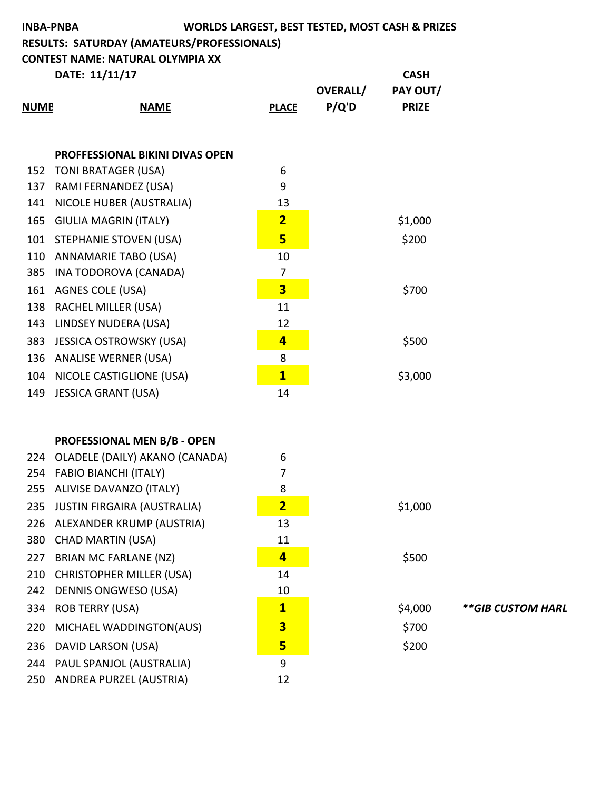| <b>WORLDS LARGEST, BEST TESTED, MOST CASH &amp; PRIZES</b><br><b>INBA-PNBA</b><br>RESULTS: SATURDAY (AMATEURS/PROFESSIONALS) |                                         |                         |                 |              |                   |
|------------------------------------------------------------------------------------------------------------------------------|-----------------------------------------|-------------------------|-----------------|--------------|-------------------|
|                                                                                                                              | <b>CONTEST NAME: NATURAL OLYMPIA XX</b> |                         |                 | <b>CASH</b>  |                   |
|                                                                                                                              | DATE: 11/11/17                          |                         | <b>OVERALL/</b> | PAY OUT/     |                   |
| <b>NUMB</b>                                                                                                                  | <b>NAME</b>                             | <b>PLACE</b>            | P/Q'D           | <b>PRIZE</b> |                   |
|                                                                                                                              |                                         |                         |                 |              |                   |
|                                                                                                                              |                                         |                         |                 |              |                   |
|                                                                                                                              | <b>PROFFESSIONAL BIKINI DIVAS OPEN</b>  |                         |                 |              |                   |
|                                                                                                                              | 152 TONI BRATAGER (USA)                 | 6                       |                 |              |                   |
| 137                                                                                                                          | RAMI FERNANDEZ (USA)                    | 9                       |                 |              |                   |
| 141                                                                                                                          | NICOLE HUBER (AUSTRALIA)                | 13                      |                 |              |                   |
| 165                                                                                                                          | <b>GIULIA MAGRIN (ITALY)</b>            | $\overline{2}$          |                 | \$1,000      |                   |
|                                                                                                                              | 101 STEPHANIE STOVEN (USA)              | 5                       |                 | \$200        |                   |
| 110                                                                                                                          | ANNAMARIE TABO (USA)                    | 10                      |                 |              |                   |
| 385                                                                                                                          | INA TODOROVA (CANADA)                   | $\overline{7}$          |                 |              |                   |
| 161                                                                                                                          | <b>AGNES COLE (USA)</b>                 | $\overline{\mathbf{3}}$ |                 | \$700        |                   |
| 138                                                                                                                          | <b>RACHEL MILLER (USA)</b>              | 11                      |                 |              |                   |
| 143                                                                                                                          | LINDSEY NUDERA (USA)                    | 12                      |                 |              |                   |
| 383                                                                                                                          | <b>JESSICA OSTROWSKY (USA)</b>          | $\overline{4}$          |                 | \$500        |                   |
|                                                                                                                              | 136 ANALISE WERNER (USA)                | 8                       |                 |              |                   |
| 104                                                                                                                          | NICOLE CASTIGLIONE (USA)                | $\mathbf{1}$            |                 | \$3,000      |                   |
| 149                                                                                                                          | <b>JESSICA GRANT (USA)</b>              | 14                      |                 |              |                   |
|                                                                                                                              |                                         |                         |                 |              |                   |
|                                                                                                                              |                                         |                         |                 |              |                   |
|                                                                                                                              | PROFESSIONAL MEN B/B - OPEN             |                         |                 |              |                   |
|                                                                                                                              | 224 OLADELE (DAILY) AKANO (CANADA)      | 6                       |                 |              |                   |
| 254                                                                                                                          | <b>FABIO BIANCHI (ITALY)</b>            | 7                       |                 |              |                   |
| 255                                                                                                                          | ALIVISE DAVANZO (ITALY)                 | 8                       |                 |              |                   |
| 235                                                                                                                          | <b>JUSTIN FIRGAIRA (AUSTRALIA)</b>      | $\overline{\mathbf{2}}$ |                 | \$1,000      |                   |
| 226                                                                                                                          | ALEXANDER KRUMP (AUSTRIA)               | 13                      |                 |              |                   |
| 380                                                                                                                          | <b>CHAD MARTIN (USA)</b>                | 11                      |                 |              |                   |
| 227                                                                                                                          | <b>BRIAN MC FARLANE (NZ)</b>            | $\overline{4}$          |                 | \$500        |                   |
| 210                                                                                                                          | <b>CHRISTOPHER MILLER (USA)</b>         | 14                      |                 |              |                   |
| 242                                                                                                                          | <b>DENNIS ONGWESO (USA)</b>             | 10                      |                 |              |                   |
| 334                                                                                                                          | <b>ROB TERRY (USA)</b>                  | $\mathbf{1}$            |                 | \$4,000      | **GIB CUSTOM HARL |
| 220                                                                                                                          | MICHAEL WADDINGTON(AUS)                 | $\overline{\mathbf{3}}$ |                 | \$700        |                   |
| 236                                                                                                                          | DAVID LARSON (USA)                      | 5                       |                 | \$200        |                   |
| 244                                                                                                                          | PAUL SPANJOL (AUSTRALIA)                | 9                       |                 |              |                   |
| 250                                                                                                                          | ANDREA PURZEL (AUSTRIA)                 | 12                      |                 |              |                   |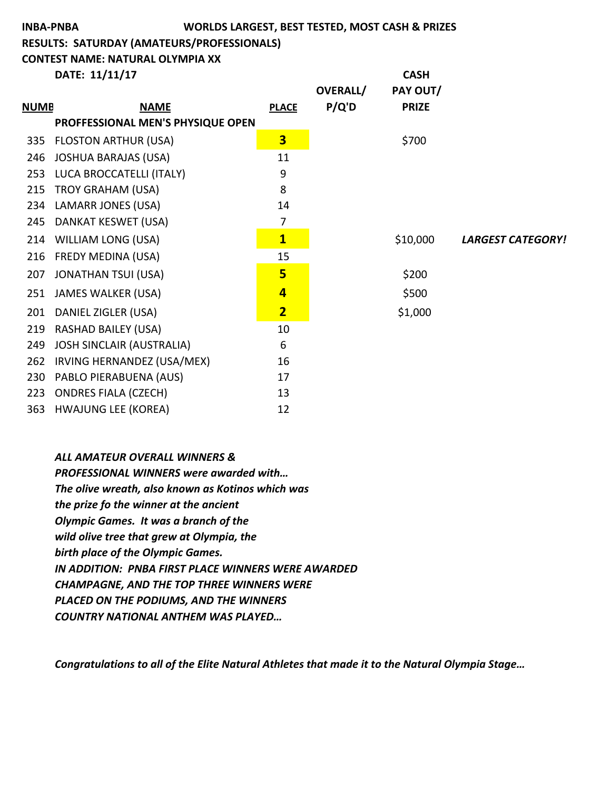# **INBA-PNBA WORLDS LARGEST, BEST TESTED, MOST CASH & PRIZES**

**RESULTS: SATURDAY (AMATEURS/PROFESSIONALS)**

**CONTEST NAME: NATURAL OLYMPIA XX** 

**DATE:** 11/11/17 **CASH** 

|             |                                   |                         | <b>OVERALL/</b> | PAY OUT/     |                          |
|-------------|-----------------------------------|-------------------------|-----------------|--------------|--------------------------|
| <b>NUMB</b> | <b>NAME</b>                       | <b>PLACE</b>            | P/Q'D           | <b>PRIZE</b> |                          |
|             | PROFFESSIONAL MEN'S PHYSIQUE OPEN |                         |                 |              |                          |
| 335         | <b>FLOSTON ARTHUR (USA)</b>       | $\overline{\mathbf{3}}$ |                 | \$700        |                          |
| 246         | <b>JOSHUA BARAJAS (USA)</b>       | 11                      |                 |              |                          |
| 253         | LUCA BROCCATELLI (ITALY)          | 9                       |                 |              |                          |
| 215         | TROY GRAHAM (USA)                 | 8                       |                 |              |                          |
| 234         | LAMARR JONES (USA)                | 14                      |                 |              |                          |
| 245         | DANKAT KESWET (USA)               | 7                       |                 |              |                          |
| 214         | <b>WILLIAM LONG (USA)</b>         | $\overline{\mathbf{1}}$ |                 | \$10,000     | <b>LARGEST CATEGORY!</b> |
| 216         | FREDY MEDINA (USA)                | 15                      |                 |              |                          |
| 207         | <b>JONATHAN TSUI (USA)</b>        | 5                       |                 | \$200        |                          |
| 251         | <b>JAMES WALKER (USA)</b>         | $\overline{\mathbf{4}}$ |                 | \$500        |                          |
| 201         | DANIEL ZIGLER (USA)               | $\overline{\mathbf{2}}$ |                 | \$1,000      |                          |
| 219         | <b>RASHAD BAILEY (USA)</b>        | 10                      |                 |              |                          |
| 249         | <b>JOSH SINCLAIR (AUSTRALIA)</b>  | 6                       |                 |              |                          |
| 262         | IRVING HERNANDEZ (USA/MEX)        | 16                      |                 |              |                          |
| 230         | PABLO PIERABUENA (AUS)            | 17                      |                 |              |                          |
| 223         | <b>ONDRES FIALA (CZECH)</b>       | 13                      |                 |              |                          |
| 363         | <b>HWAJUNG LEE (KOREA)</b>        | 12                      |                 |              |                          |

*ALL AMATEUR OVERALL WINNERS &* **PROFESSIONAL WINNERS were awarded with...** The olive wreath, also known as Kotinos which was the prize fo the winner at the ancient **Olympic Games.** It was a branch of the wild olive tree that grew at Olympia, the **birth place of the Olympic Games. IN ADDITION: PNBA FIRST PLACE WINNERS WERE AWARDED CHAMPAGNE, AND THE TOP THREE WINNERS WERE PLACED ON THE PODIUMS, AND THE WINNERS** *COUNTRY NATIONAL ANTHEM WAS PLAYED…*

*Congratulations to all of the Elite Natural Athletes that made it to the Natural Olympia Stage...*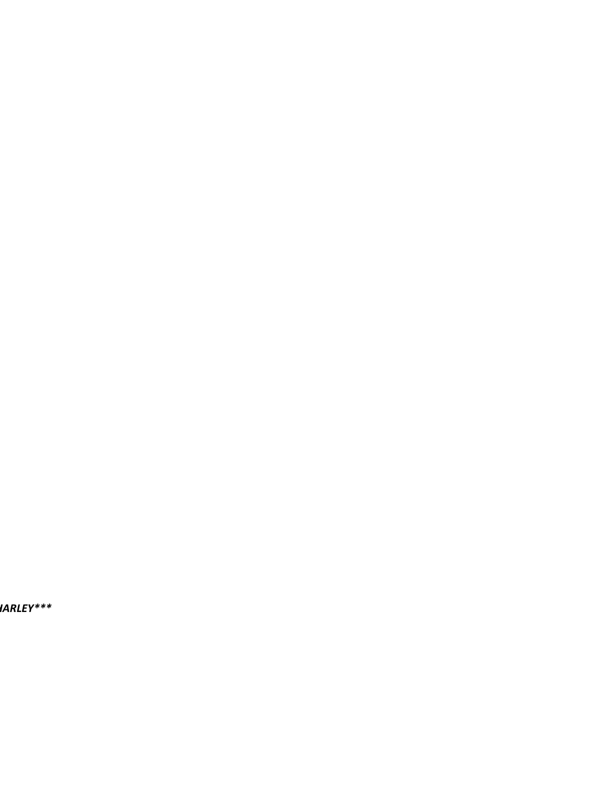*\*\*GIB CUSTOM HARLEY\*\*\**